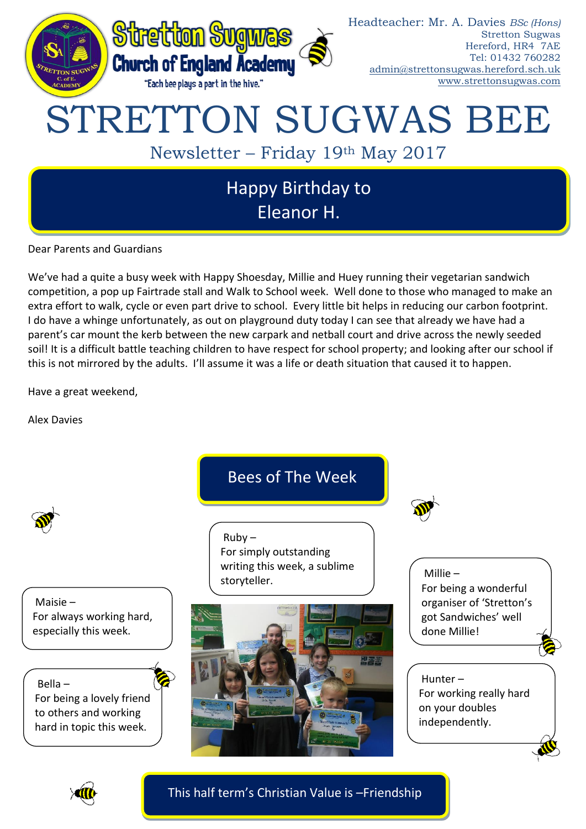

Dear Parents and Guardians

We've had a quite a busy week with Happy Shoesday, Millie and Huey running their vegetarian sandwich competition, a pop up Fairtrade stall and Walk to School week. Well done to those who managed to make an extra effort to walk, cycle or even part drive to school. Every little bit helps in reducing our carbon footprint. I do have a whinge unfortunately, as out on playground duty today I can see that already we have had a parent's car mount the kerb between the new carpark and netball court and drive across the newly seeded soil! It is a difficult battle teaching children to have respect for school property; and looking after our school if this is not mirrored by the adults. I'll assume it was a life or death situation that caused it to happen.

Have a great weekend,

Alex Davies





This half term's Christian Value is –Friendship